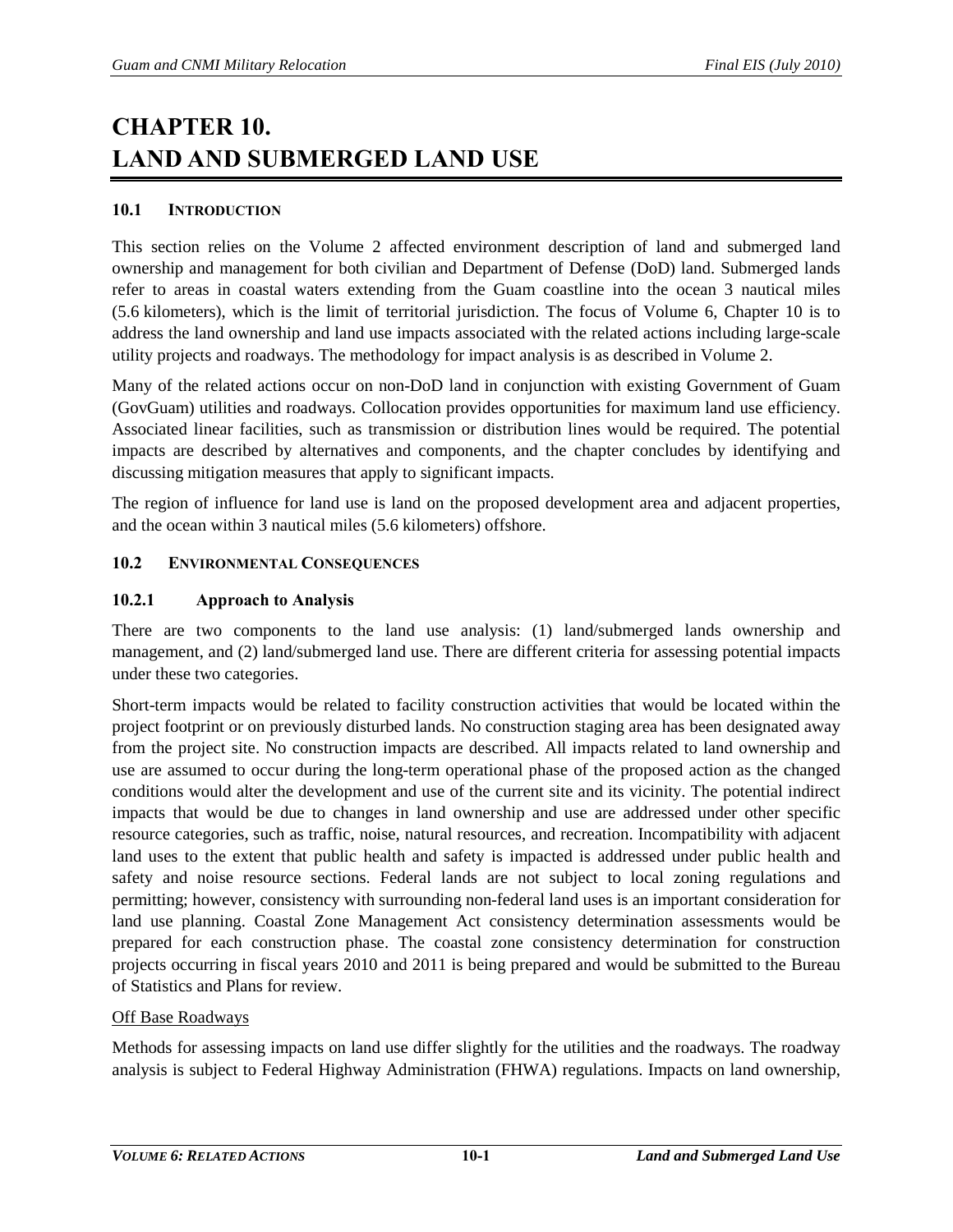# **CHAPTER 10. LAND AND SUBMERGED LAND USE**

## **10.1 INTRODUCTION**

This section relies on the Volume 2 affected environment description of land and submerged land ownership and management for both civilian and Department of Defense (DoD) land. Submerged lands refer to areas in coastal waters extending from the Guam coastline into the ocean 3 nautical miles (5.6 kilometers), which is the limit of territorial jurisdiction. The focus of Volume 6, Chapter 10 is to address the land ownership and land use impacts associated with the related actions including large-scale utility projects and roadways. The methodology for impact analysis is as described in Volume 2.

Many of the related actions occur on non-DoD land in conjunction with existing Government of Guam (GovGuam) utilities and roadways. Collocation provides opportunities for maximum land use efficiency. Associated linear facilities, such as transmission or distribution lines would be required. The potential impacts are described by alternatives and components, and the chapter concludes by identifying and discussing mitigation measures that apply to significant impacts.

The region of influence for land use is land on the proposed development area and adjacent properties, and the ocean within 3 nautical miles (5.6 kilometers) offshore.

## **10.2 ENVIRONMENTAL CONSEQUENCES**

## **10.2.1 Approach to Analysis**

There are two components to the land use analysis: (1) land/submerged lands ownership and management, and (2) land/submerged land use. There are different criteria for assessing potential impacts under these two categories.

Short-term impacts would be related to facility construction activities that would be located within the project footprint or on previously disturbed lands. No construction staging area has been designated away from the project site. No construction impacts are described. All impacts related to land ownership and use are assumed to occur during the long-term operational phase of the proposed action as the changed conditions would alter the development and use of the current site and its vicinity. The potential indirect impacts that would be due to changes in land ownership and use are addressed under other specific resource categories, such as traffic, noise, natural resources, and recreation. Incompatibility with adjacent land uses to the extent that public health and safety is impacted is addressed under public health and safety and noise resource sections. Federal lands are not subject to local zoning regulations and permitting; however, consistency with surrounding non-federal land uses is an important consideration for land use planning. Coastal Zone Management Act consistency determination assessments would be prepared for each construction phase. The coastal zone consistency determination for construction projects occurring in fiscal years 2010 and 2011 is being prepared and would be submitted to the Bureau of Statistics and Plans for review.

## Off Base Roadways

Methods for assessing impacts on land use differ slightly for the utilities and the roadways. The roadway analysis is subject to Federal Highway Administration (FHWA) regulations. Impacts on land ownership,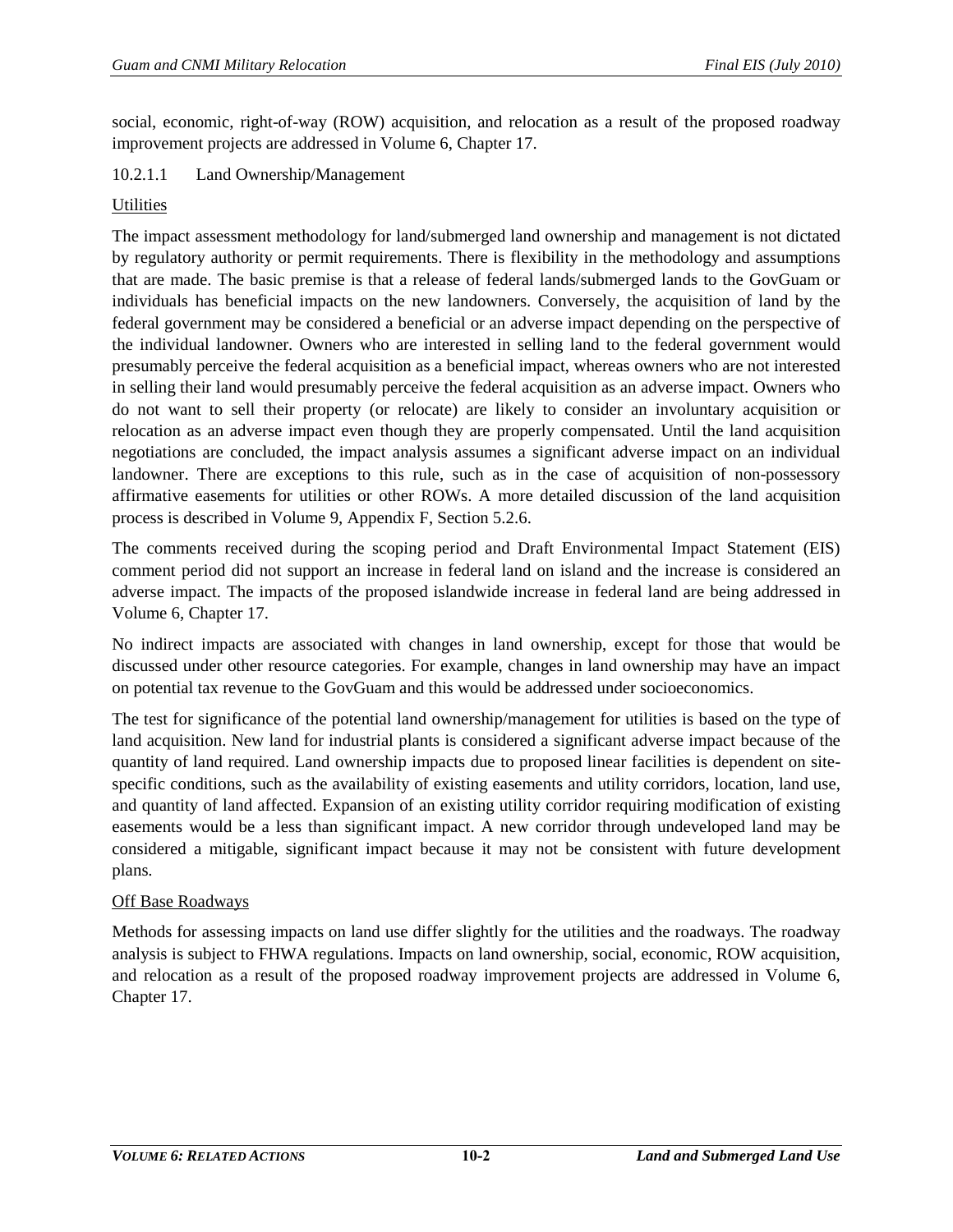social, economic, right-of-way (ROW) acquisition, and relocation as a result of the proposed roadway improvement projects are addressed in Volume 6, Chapter 17.

## 10.2.1.1 Land Ownership/Management

## **Utilities**

The impact assessment methodology for land/submerged land ownership and management is not dictated by regulatory authority or permit requirements. There is flexibility in the methodology and assumptions that are made. The basic premise is that a release of federal lands/submerged lands to the GovGuam or individuals has beneficial impacts on the new landowners. Conversely, the acquisition of land by the federal government may be considered a beneficial or an adverse impact depending on the perspective of the individual landowner. Owners who are interested in selling land to the federal government would presumably perceive the federal acquisition as a beneficial impact, whereas owners who are not interested in selling their land would presumably perceive the federal acquisition as an adverse impact. Owners who do not want to sell their property (or relocate) are likely to consider an involuntary acquisition or relocation as an adverse impact even though they are properly compensated. Until the land acquisition negotiations are concluded, the impact analysis assumes a significant adverse impact on an individual landowner. There are exceptions to this rule, such as in the case of acquisition of non-possessory affirmative easements for utilities or other ROWs. A more detailed discussion of the land acquisition process is described in Volume 9, Appendix F, Section 5.2.6.

The comments received during the scoping period and Draft Environmental Impact Statement (EIS) comment period did not support an increase in federal land on island and the increase is considered an adverse impact. The impacts of the proposed islandwide increase in federal land are being addressed in Volume 6, Chapter 17.

No indirect impacts are associated with changes in land ownership, except for those that would be discussed under other resource categories. For example, changes in land ownership may have an impact on potential tax revenue to the GovGuam and this would be addressed under socioeconomics.

The test for significance of the potential land ownership/management for utilities is based on the type of land acquisition. New land for industrial plants is considered a significant adverse impact because of the quantity of land required. Land ownership impacts due to proposed linear facilities is dependent on sitespecific conditions, such as the availability of existing easements and utility corridors, location, land use, and quantity of land affected. Expansion of an existing utility corridor requiring modification of existing easements would be a less than significant impact. A new corridor through undeveloped land may be considered a mitigable, significant impact because it may not be consistent with future development plans.

## Off Base Roadways

Methods for assessing impacts on land use differ slightly for the utilities and the roadways. The roadway analysis is subject to FHWA regulations. Impacts on land ownership, social, economic, ROW acquisition, and relocation as a result of the proposed roadway improvement projects are addressed in Volume 6, Chapter 17.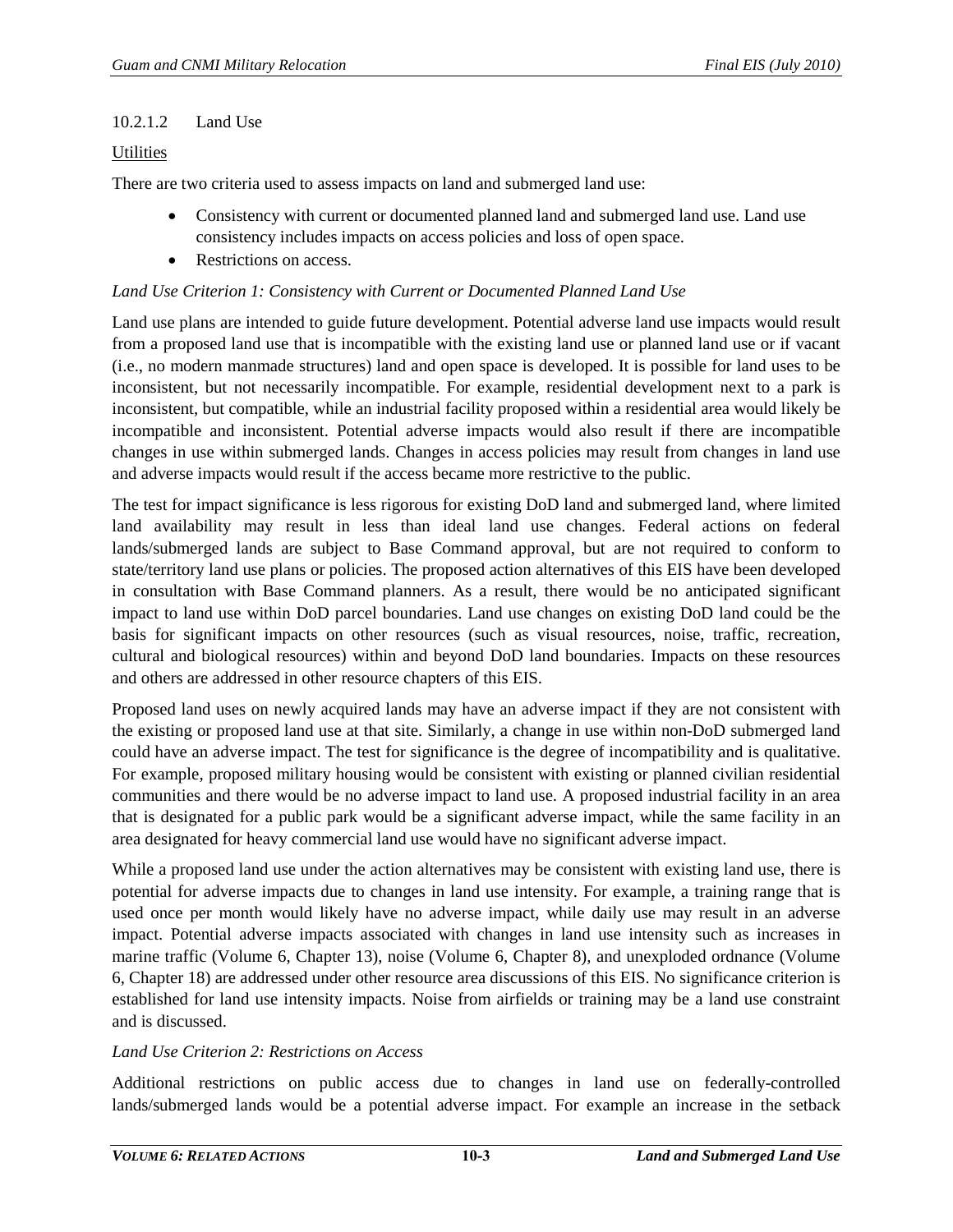#### 10.2.1.2 Land Use

#### **Utilities**

There are two criteria used to assess impacts on land and submerged land use:

- Consistency with current or documented planned land and submerged land use. Land use consistency includes impacts on access policies and loss of open space.
- Restrictions on access.

#### *Land Use Criterion 1: Consistency with Current or Documented Planned Land Use*

Land use plans are intended to guide future development. Potential adverse land use impacts would result from a proposed land use that is incompatible with the existing land use or planned land use or if vacant (i.e., no modern manmade structures) land and open space is developed. It is possible for land uses to be inconsistent, but not necessarily incompatible. For example, residential development next to a park is inconsistent, but compatible, while an industrial facility proposed within a residential area would likely be incompatible and inconsistent. Potential adverse impacts would also result if there are incompatible changes in use within submerged lands. Changes in access policies may result from changes in land use and adverse impacts would result if the access became more restrictive to the public.

The test for impact significance is less rigorous for existing DoD land and submerged land, where limited land availability may result in less than ideal land use changes. Federal actions on federal lands/submerged lands are subject to Base Command approval, but are not required to conform to state/territory land use plans or policies. The proposed action alternatives of this EIS have been developed in consultation with Base Command planners. As a result, there would be no anticipated significant impact to land use within DoD parcel boundaries. Land use changes on existing DoD land could be the basis for significant impacts on other resources (such as visual resources, noise, traffic, recreation, cultural and biological resources) within and beyond DoD land boundaries. Impacts on these resources and others are addressed in other resource chapters of this EIS.

Proposed land uses on newly acquired lands may have an adverse impact if they are not consistent with the existing or proposed land use at that site. Similarly, a change in use within non-DoD submerged land could have an adverse impact. The test for significance is the degree of incompatibility and is qualitative. For example, proposed military housing would be consistent with existing or planned civilian residential communities and there would be no adverse impact to land use. A proposed industrial facility in an area that is designated for a public park would be a significant adverse impact, while the same facility in an area designated for heavy commercial land use would have no significant adverse impact.

While a proposed land use under the action alternatives may be consistent with existing land use, there is potential for adverse impacts due to changes in land use intensity. For example, a training range that is used once per month would likely have no adverse impact, while daily use may result in an adverse impact. Potential adverse impacts associated with changes in land use intensity such as increases in marine traffic (Volume 6, Chapter 13), noise (Volume 6, Chapter 8), and unexploded ordnance (Volume 6, Chapter 18) are addressed under other resource area discussions of this EIS. No significance criterion is established for land use intensity impacts. Noise from airfields or training may be a land use constraint and is discussed.

#### *Land Use Criterion 2: Restrictions on Access*

Additional restrictions on public access due to changes in land use on federally-controlled lands/submerged lands would be a potential adverse impact. For example an increase in the setback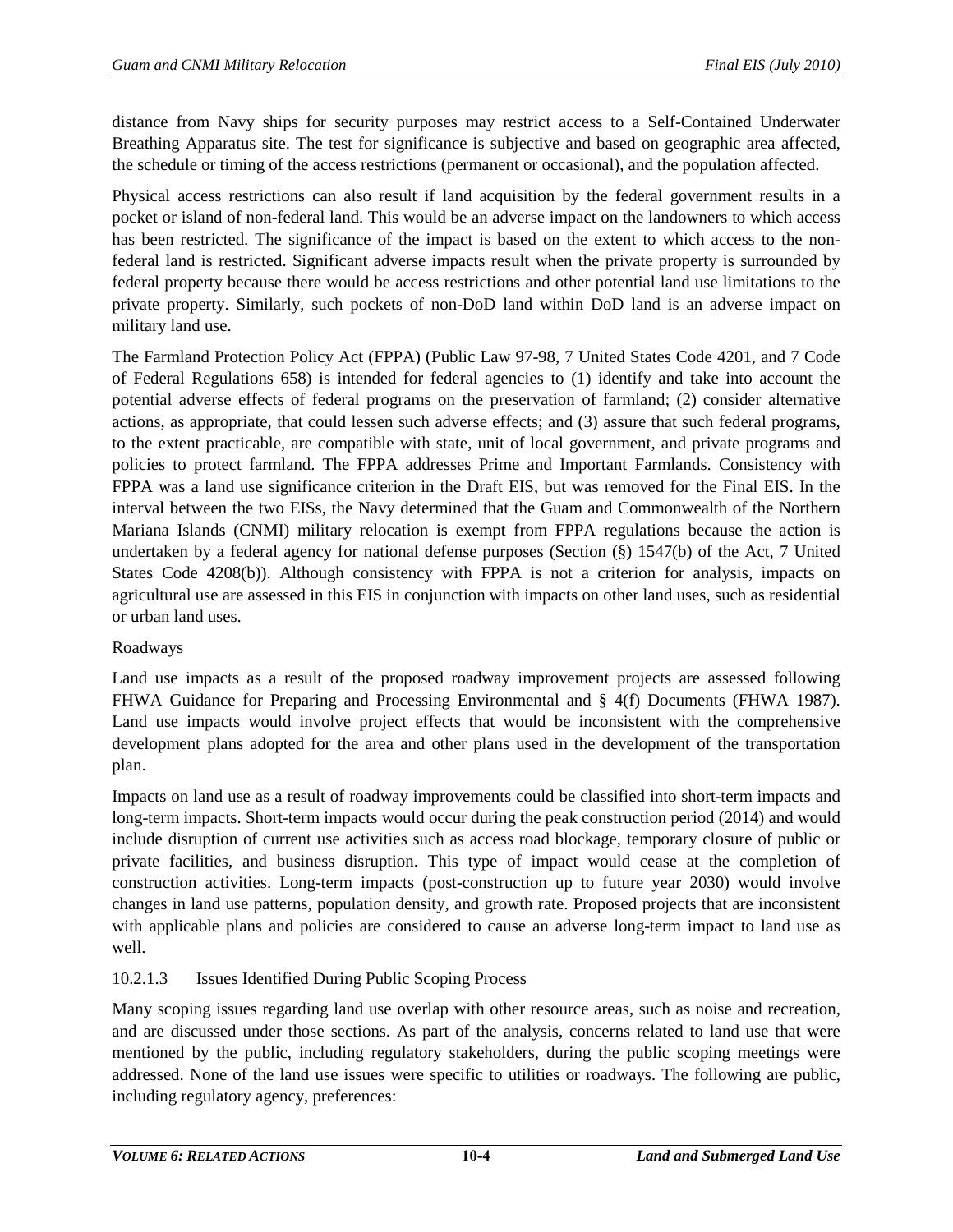distance from Navy ships for security purposes may restrict access to a Self-Contained Underwater Breathing Apparatus site. The test for significance is subjective and based on geographic area affected, the schedule or timing of the access restrictions (permanent or occasional), and the population affected.

Physical access restrictions can also result if land acquisition by the federal government results in a pocket or island of non-federal land. This would be an adverse impact on the landowners to which access has been restricted. The significance of the impact is based on the extent to which access to the nonfederal land is restricted. Significant adverse impacts result when the private property is surrounded by federal property because there would be access restrictions and other potential land use limitations to the private property. Similarly, such pockets of non-DoD land within DoD land is an adverse impact on military land use.

The Farmland Protection Policy Act (FPPA) (Public Law 97-98, 7 United States Code 4201, and 7 Code of Federal Regulations 658) is intended for federal agencies to (1) identify and take into account the potential adverse effects of federal programs on the preservation of farmland; (2) consider alternative actions, as appropriate, that could lessen such adverse effects; and (3) assure that such federal programs, to the extent practicable, are compatible with state, unit of local government, and private programs and policies to protect farmland. The FPPA addresses Prime and Important Farmlands. Consistency with FPPA was a land use significance criterion in the Draft EIS, but was removed for the Final EIS. In the interval between the two EISs, the Navy determined that the Guam and Commonwealth of the Northern Mariana Islands (CNMI) military relocation is exempt from FPPA regulations because the action is undertaken by a federal agency for national defense purposes (Section (§) 1547(b) of the Act, 7 United States Code 4208(b)). Although consistency with FPPA is not a criterion for analysis, impacts on agricultural use are assessed in this EIS in conjunction with impacts on other land uses, such as residential or urban land uses.

## Roadways

Land use impacts as a result of the proposed roadway improvement projects are assessed following FHWA Guidance for Preparing and Processing Environmental and § 4(f) Documents (FHWA 1987). Land use impacts would involve project effects that would be inconsistent with the comprehensive development plans adopted for the area and other plans used in the development of the transportation plan.

Impacts on land use as a result of roadway improvements could be classified into short-term impacts and long-term impacts. Short-term impacts would occur during the peak construction period (2014) and would include disruption of current use activities such as access road blockage, temporary closure of public or private facilities, and business disruption. This type of impact would cease at the completion of construction activities. Long-term impacts (post-construction up to future year 2030) would involve changes in land use patterns, population density, and growth rate. Proposed projects that are inconsistent with applicable plans and policies are considered to cause an adverse long-term impact to land use as well.

# 10.2.1.3 Issues Identified During Public Scoping Process

Many scoping issues regarding land use overlap with other resource areas, such as noise and recreation, and are discussed under those sections. As part of the analysis, concerns related to land use that were mentioned by the public, including regulatory stakeholders, during the public scoping meetings were addressed. None of the land use issues were specific to utilities or roadways. The following are public, including regulatory agency, preferences: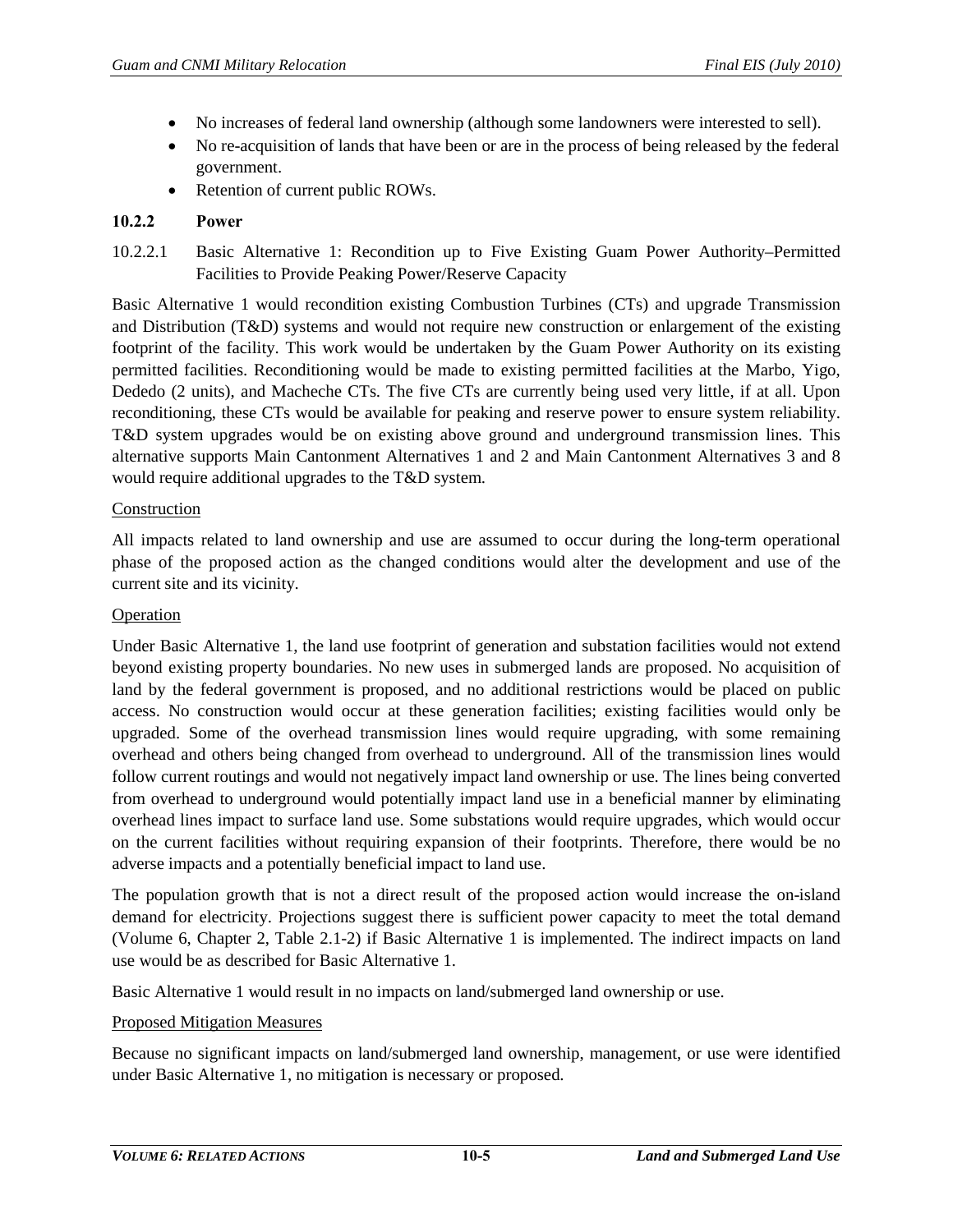- No increases of federal land ownership (although some landowners were interested to sell).
- No re-acquisition of lands that have been or are in the process of being released by the federal government.
- Retention of current public ROWs.

#### **10.2.2 Power**

10.2.2.1 Basic Alternative 1: Recondition up to Five Existing Guam Power Authority–Permitted Facilities to Provide Peaking Power/Reserve Capacity

Basic Alternative 1 would recondition existing Combustion Turbines (CTs) and upgrade Transmission and Distribution (T&D) systems and would not require new construction or enlargement of the existing footprint of the facility. This work would be undertaken by the Guam Power Authority on its existing permitted facilities. Reconditioning would be made to existing permitted facilities at the Marbo, Yigo, Dededo (2 units), and Macheche CTs. The five CTs are currently being used very little, if at all. Upon reconditioning, these CTs would be available for peaking and reserve power to ensure system reliability. T&D system upgrades would be on existing above ground and underground transmission lines. This alternative supports Main Cantonment Alternatives 1 and 2 and Main Cantonment Alternatives 3 and 8 would require additional upgrades to the T&D system.

#### Construction

All impacts related to land ownership and use are assumed to occur during the long-term operational phase of the proposed action as the changed conditions would alter the development and use of the current site and its vicinity.

#### Operation

Under Basic Alternative 1, the land use footprint of generation and substation facilities would not extend beyond existing property boundaries. No new uses in submerged lands are proposed. No acquisition of land by the federal government is proposed, and no additional restrictions would be placed on public access. No construction would occur at these generation facilities; existing facilities would only be upgraded. Some of the overhead transmission lines would require upgrading, with some remaining overhead and others being changed from overhead to underground. All of the transmission lines would follow current routings and would not negatively impact land ownership or use. The lines being converted from overhead to underground would potentially impact land use in a beneficial manner by eliminating overhead lines impact to surface land use. Some substations would require upgrades, which would occur on the current facilities without requiring expansion of their footprints. Therefore, there would be no adverse impacts and a potentially beneficial impact to land use.

The population growth that is not a direct result of the proposed action would increase the on-island demand for electricity. Projections suggest there is sufficient power capacity to meet the total demand (Volume 6, Chapter 2, Table 2.1-2) if Basic Alternative 1 is implemented. The indirect impacts on land use would be as described for Basic Alternative 1.

Basic Alternative 1 would result in no impacts on land/submerged land ownership or use.

#### Proposed Mitigation Measures

Because no significant impacts on land/submerged land ownership, management, or use were identified under Basic Alternative 1, no mitigation is necessary or proposed.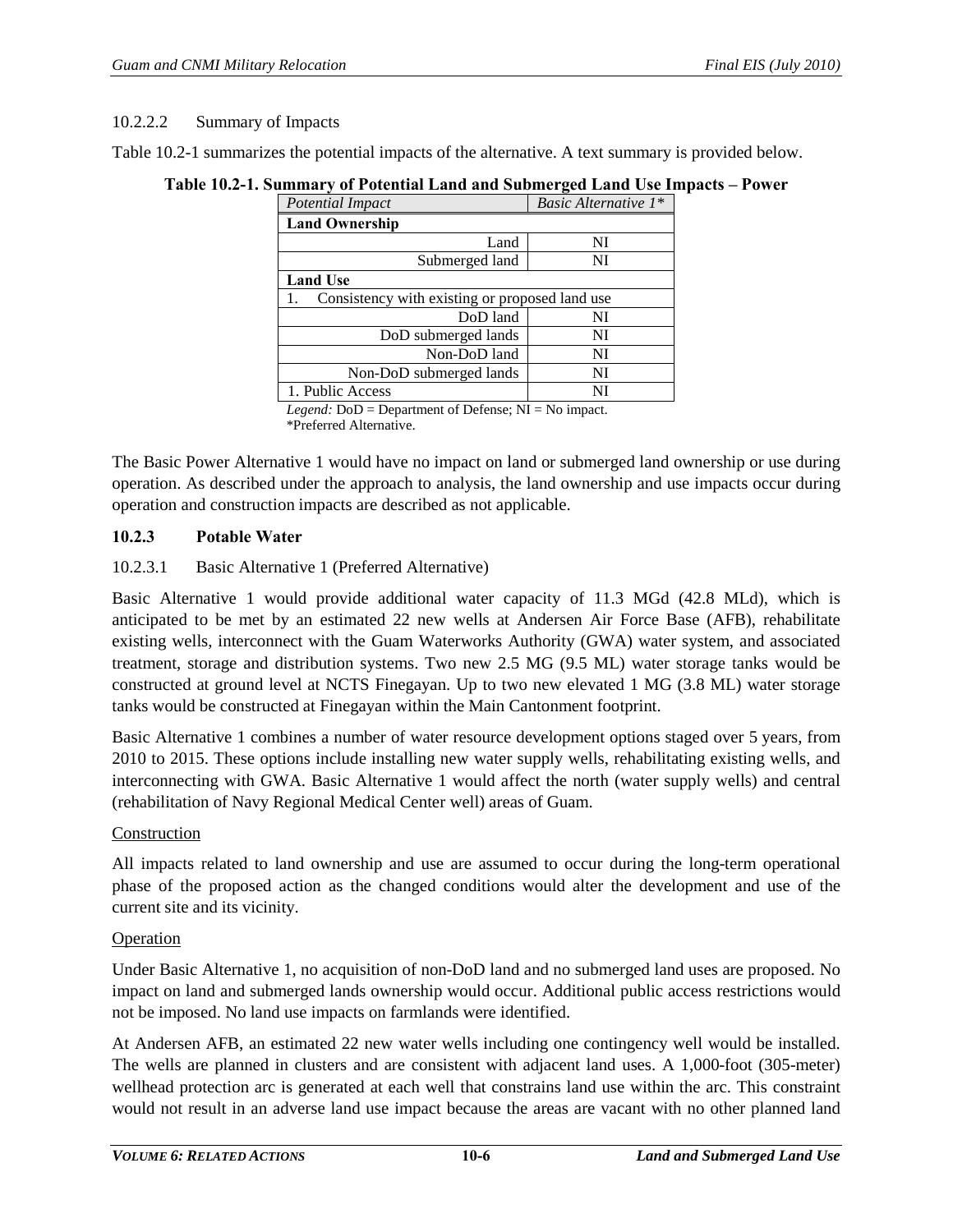#### 10.2.2.2 Summary of Impacts

<span id="page-5-0"></span>[Table 10.2-1](#page-5-0) summarizes the potential impacts of the alternative. A text summary is provided below.

**Table 10.2-1. Summary of Potential Land and Submerged Land Use Impacts – Power**

| <b>Potential Impact</b>                        | Basic Alternative 1* |
|------------------------------------------------|----------------------|
| <b>Land Ownership</b>                          |                      |
| Land                                           | NI                   |
| Submerged land                                 | NI                   |
| <b>Land Use</b>                                |                      |
| Consistency with existing or proposed land use |                      |
| DoD land                                       | NI                   |
| DoD submerged lands                            | NI                   |
| Non-DoD land                                   | NI                   |
| Non-DoD submerged lands                        | NI                   |
| 1. Public Access                               | NI                   |
| .                                              | $\cdots$             |

*Legend:* DoD = Department of Defense; NI = No impact. \*Preferred Alternative.

The Basic Power Alternative 1 would have no impact on land or submerged land ownership or use during operation. As described under the approach to analysis, the land ownership and use impacts occur during operation and construction impacts are described as not applicable.

#### **10.2.3 Potable Water**

#### 10.2.3.1 Basic Alternative 1 (Preferred Alternative)

Basic Alternative 1 would provide additional water capacity of 11.3 MGd (42.8 MLd), which is anticipated to be met by an estimated 22 new wells at Andersen Air Force Base (AFB), rehabilitate existing wells, interconnect with the Guam Waterworks Authority (GWA) water system, and associated treatment, storage and distribution systems. Two new 2.5 MG (9.5 ML) water storage tanks would be constructed at ground level at NCTS Finegayan. Up to two new elevated 1 MG (3.8 ML) water storage tanks would be constructed at Finegayan within the Main Cantonment footprint.

Basic Alternative 1 combines a number of water resource development options staged over 5 years, from 2010 to 2015. These options include installing new water supply wells, rehabilitating existing wells, and interconnecting with GWA. Basic Alternative 1 would affect the north (water supply wells) and central (rehabilitation of Navy Regional Medical Center well) areas of Guam.

#### Construction

All impacts related to land ownership and use are assumed to occur during the long-term operational phase of the proposed action as the changed conditions would alter the development and use of the current site and its vicinity.

#### Operation

Under Basic Alternative 1, no acquisition of non-DoD land and no submerged land uses are proposed. No impact on land and submerged lands ownership would occur. Additional public access restrictions would not be imposed. No land use impacts on farmlands were identified.

At Andersen AFB, an estimated 22 new water wells including one contingency well would be installed. The wells are planned in clusters and are consistent with adjacent land uses. A 1,000-foot (305-meter) wellhead protection arc is generated at each well that constrains land use within the arc. This constraint would not result in an adverse land use impact because the areas are vacant with no other planned land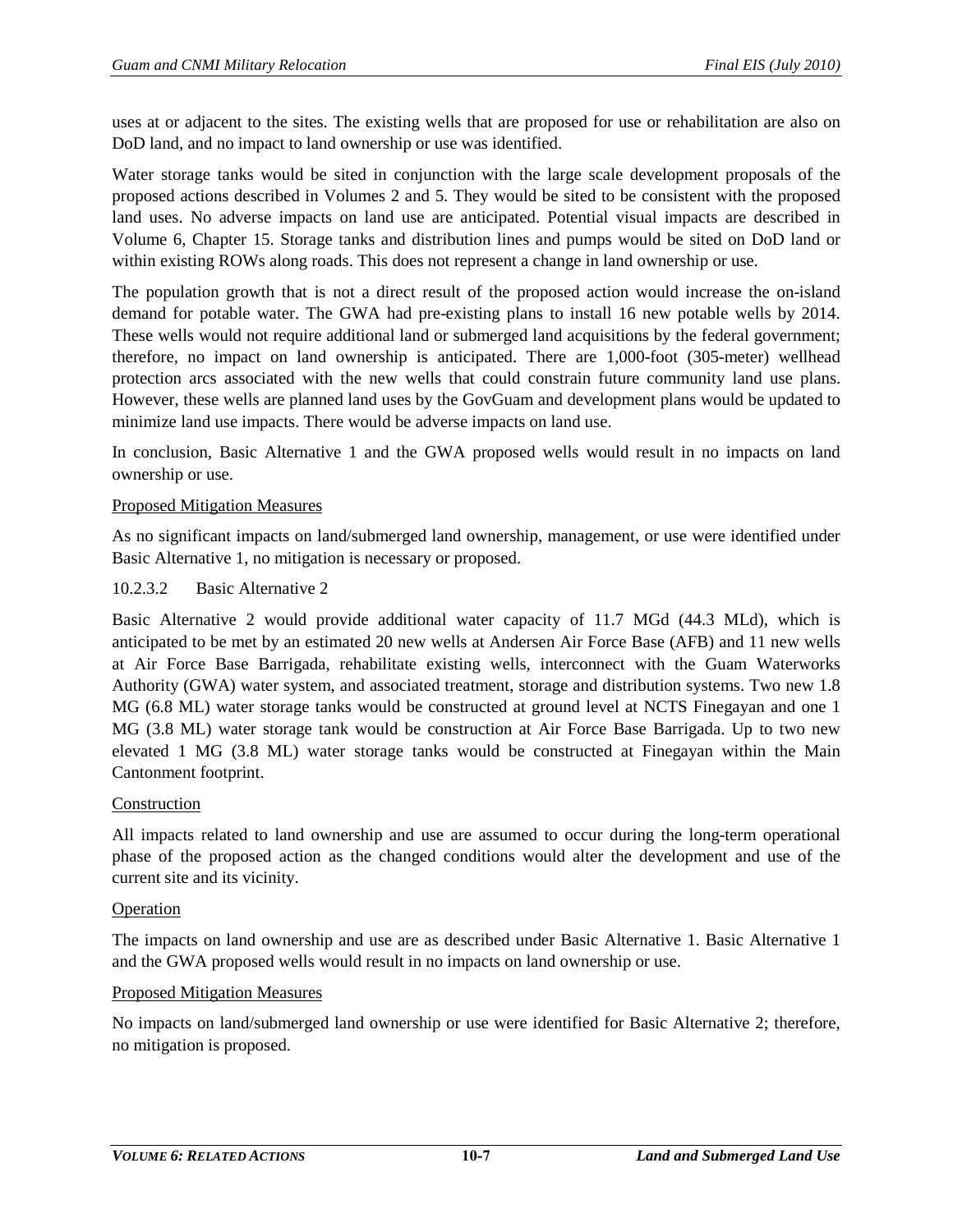uses at or adjacent to the sites. The existing wells that are proposed for use or rehabilitation are also on DoD land, and no impact to land ownership or use was identified.

Water storage tanks would be sited in conjunction with the large scale development proposals of the proposed actions described in Volumes 2 and 5. They would be sited to be consistent with the proposed land uses. No adverse impacts on land use are anticipated. Potential visual impacts are described in Volume 6, Chapter 15. Storage tanks and distribution lines and pumps would be sited on DoD land or within existing ROWs along roads. This does not represent a change in land ownership or use.

The population growth that is not a direct result of the proposed action would increase the on-island demand for potable water. The GWA had pre-existing plans to install 16 new potable wells by 2014. These wells would not require additional land or submerged land acquisitions by the federal government; therefore, no impact on land ownership is anticipated. There are 1,000-foot (305-meter) wellhead protection arcs associated with the new wells that could constrain future community land use plans. However, these wells are planned land uses by the GovGuam and development plans would be updated to minimize land use impacts. There would be adverse impacts on land use.

In conclusion, Basic Alternative 1 and the GWA proposed wells would result in no impacts on land ownership or use.

## Proposed Mitigation Measures

As no significant impacts on land/submerged land ownership, management, or use were identified under Basic Alternative 1, no mitigation is necessary or proposed.

#### 10.2.3.2 Basic Alternative 2

Basic Alternative 2 would provide additional water capacity of 11.7 MGd (44.3 MLd), which is anticipated to be met by an estimated 20 new wells at Andersen Air Force Base (AFB) and 11 new wells at Air Force Base Barrigada, rehabilitate existing wells, interconnect with the Guam Waterworks Authority (GWA) water system, and associated treatment, storage and distribution systems. Two new 1.8 MG (6.8 ML) water storage tanks would be constructed at ground level at NCTS Finegayan and one 1 MG (3.8 ML) water storage tank would be construction at Air Force Base Barrigada. Up to two new elevated 1 MG (3.8 ML) water storage tanks would be constructed at Finegayan within the Main Cantonment footprint.

## Construction

All impacts related to land ownership and use are assumed to occur during the long-term operational phase of the proposed action as the changed conditions would alter the development and use of the current site and its vicinity.

#### Operation

The impacts on land ownership and use are as described under Basic Alternative 1. Basic Alternative 1 and the GWA proposed wells would result in no impacts on land ownership or use.

#### Proposed Mitigation Measures

No impacts on land/submerged land ownership or use were identified for Basic Alternative 2; therefore, no mitigation is proposed.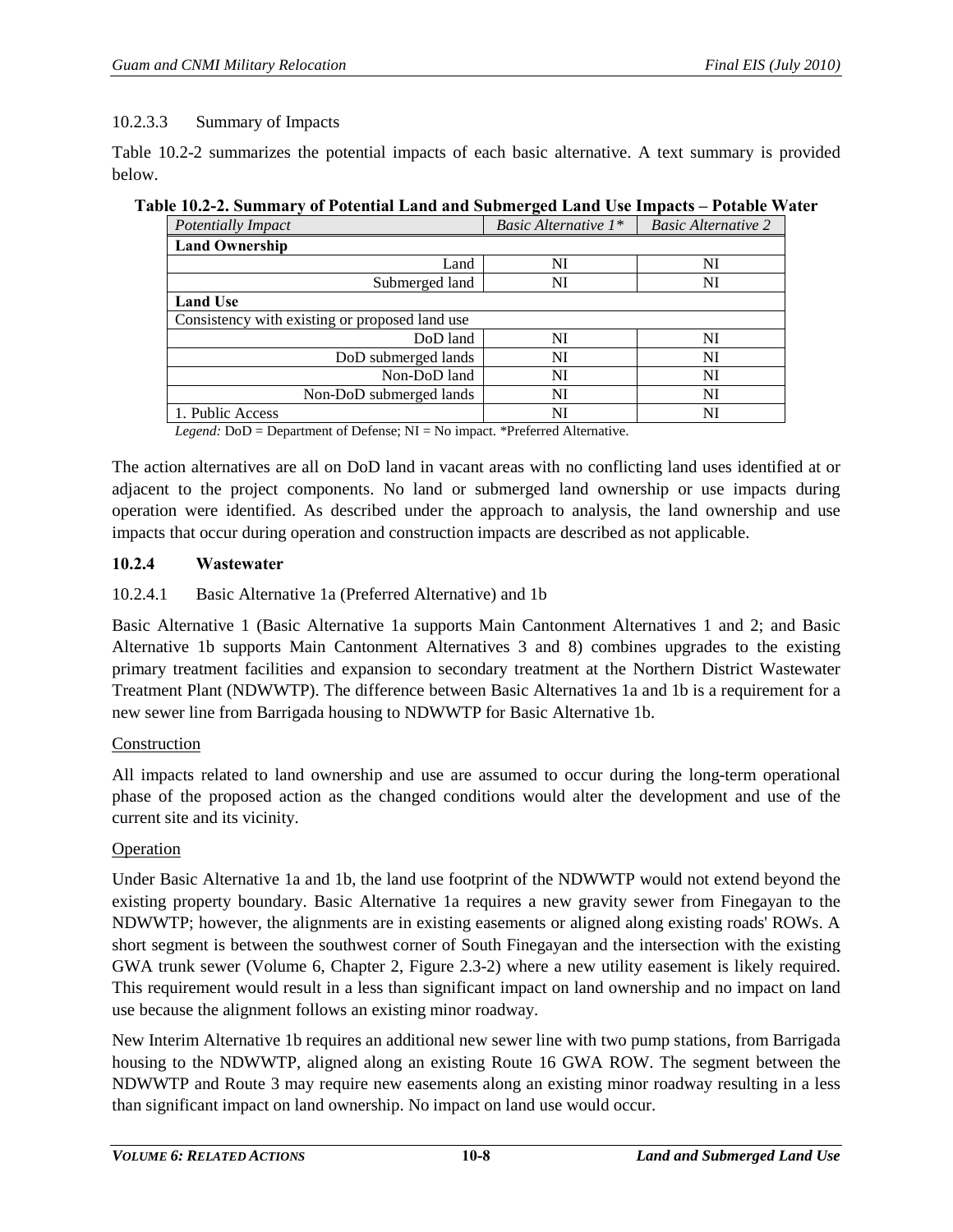## 10.2.3.3 Summary of Impacts

[Table 10.2-2](#page-7-0) summarizes the potential impacts of each basic alternative. A text summary is provided below.

| лутон принципу от головии ейни ини эйлингди ейни озутнерился - голялу т |                                |                            |
|-------------------------------------------------------------------------|--------------------------------|----------------------------|
| <b>Potentially Impact</b>                                               | <i>Basic Alternative</i> $1^*$ | <b>Basic Alternative 2</b> |
| <b>Land Ownership</b>                                                   |                                |                            |
| Land                                                                    | NI                             | NI                         |
| Submerged land                                                          | NI                             | NI                         |
| <b>Land Use</b>                                                         |                                |                            |
| Consistency with existing or proposed land use                          |                                |                            |
| DoD land                                                                | NI                             | NI                         |
| DoD submerged lands                                                     | NI                             | NI                         |
| Non-DoD land                                                            | NI                             | NI                         |
| Non-DoD submerged lands                                                 | NI                             | NI                         |
| 1. Public Access                                                        | NI                             | NI                         |

## <span id="page-7-0"></span>**Table 10.2-2. Summary of Potential Land and Submerged Land Use Impacts – Potable Water**

*Legend:* DoD = Department of Defense; NI = No impact. \*Preferred Alternative.

The action alternatives are all on DoD land in vacant areas with no conflicting land uses identified at or adjacent to the project components. No land or submerged land ownership or use impacts during operation were identified. As described under the approach to analysis, the land ownership and use impacts that occur during operation and construction impacts are described as not applicable.

## **10.2.4 Wastewater**

## 10.2.4.1 Basic Alternative 1a (Preferred Alternative) and 1b

Basic Alternative 1 (Basic Alternative 1a supports Main Cantonment Alternatives 1 and 2; and Basic Alternative 1b supports Main Cantonment Alternatives 3 and 8) combines upgrades to the existing primary treatment facilities and expansion to secondary treatment at the Northern District Wastewater Treatment Plant (NDWWTP). The difference between Basic Alternatives 1a and 1b is a requirement for a new sewer line from Barrigada housing to NDWWTP for Basic Alternative 1b.

#### Construction

All impacts related to land ownership and use are assumed to occur during the long-term operational phase of the proposed action as the changed conditions would alter the development and use of the current site and its vicinity.

## Operation

Under Basic Alternative 1a and 1b, the land use footprint of the NDWWTP would not extend beyond the existing property boundary. Basic Alternative 1a requires a new gravity sewer from Finegayan to the NDWWTP; however, the alignments are in existing easements or aligned along existing roads' ROWs. A short segment is between the southwest corner of South Finegayan and the intersection with the existing GWA trunk sewer (Volume 6, Chapter 2, Figure 2.3-2) where a new utility easement is likely required. This requirement would result in a less than significant impact on land ownership and no impact on land use because the alignment follows an existing minor roadway.

New Interim Alternative 1b requires an additional new sewer line with two pump stations, from Barrigada housing to the NDWWTP, aligned along an existing Route 16 GWA ROW. The segment between the NDWWTP and Route 3 may require new easements along an existing minor roadway resulting in a less than significant impact on land ownership. No impact on land use would occur.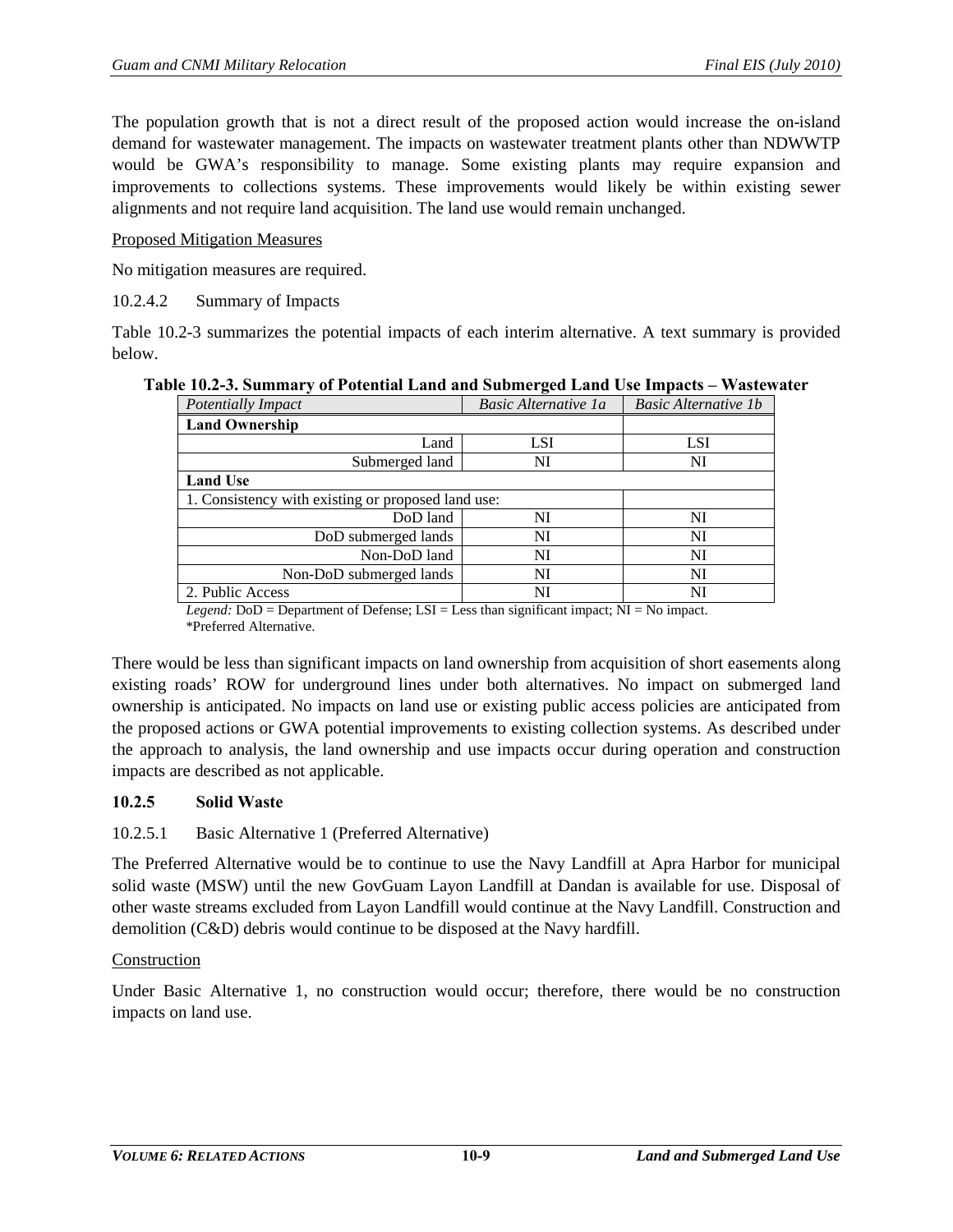The population growth that is not a direct result of the proposed action would increase the on-island demand for wastewater management. The impacts on wastewater treatment plants other than NDWWTP would be GWA's responsibility to manage. Some existing plants may require expansion and improvements to collections systems. These improvements would likely be within existing sewer alignments and not require land acquisition. The land use would remain unchanged.

#### Proposed Mitigation Measures

No mitigation measures are required.

10.2.4.2 Summary of Impacts

[Table 10.2-3](#page-8-0) summarizes the potential impacts of each interim alternative. A text summary is provided below.

<span id="page-8-0"></span>

|  | Table 10.2-3. Summary of Potential Land and Submerged Land Use Impacts - Wastewater |  |  |
|--|-------------------------------------------------------------------------------------|--|--|
|  |                                                                                     |  |  |

| Potentially Impact                                 | Basic Alternative 1a | <b>Basic Alternative 1b</b> |
|----------------------------------------------------|----------------------|-----------------------------|
| <b>Land Ownership</b>                              |                      |                             |
| Land                                               | LSI                  | LSI                         |
| Submerged land                                     | NI                   | NI                          |
| <b>Land Use</b>                                    |                      |                             |
| 1. Consistency with existing or proposed land use: |                      |                             |
| DoD land                                           | NI                   | NI                          |
| DoD submerged lands                                | NI                   | NI                          |
| Non-DoD land                                       | NI                   | NI                          |
| Non-DoD submerged lands                            | NI                   | NI                          |
| 2. Public Access                                   | NI                   | NI                          |

*Legend:* DoD = Department of Defense; LSI = Less than significant impact; NI = No impact. \*Preferred Alternative.

There would be less than significant impacts on land ownership from acquisition of short easements along existing roads' ROW for underground lines under both alternatives. No impact on submerged land ownership is anticipated. No impacts on land use or existing public access policies are anticipated from the proposed actions or GWA potential improvements to existing collection systems. As described under the approach to analysis, the land ownership and use impacts occur during operation and construction impacts are described as not applicable.

## **10.2.5 Solid Waste**

## 10.2.5.1 Basic Alternative 1 (Preferred Alternative)

The Preferred Alternative would be to continue to use the Navy Landfill at Apra Harbor for municipal solid waste (MSW) until the new GovGuam Layon Landfill at Dandan is available for use. Disposal of other waste streams excluded from Layon Landfill would continue at the Navy Landfill. Construction and demolition (C&D) debris would continue to be disposed at the Navy hardfill.

#### Construction

Under Basic Alternative 1, no construction would occur; therefore, there would be no construction impacts on land use.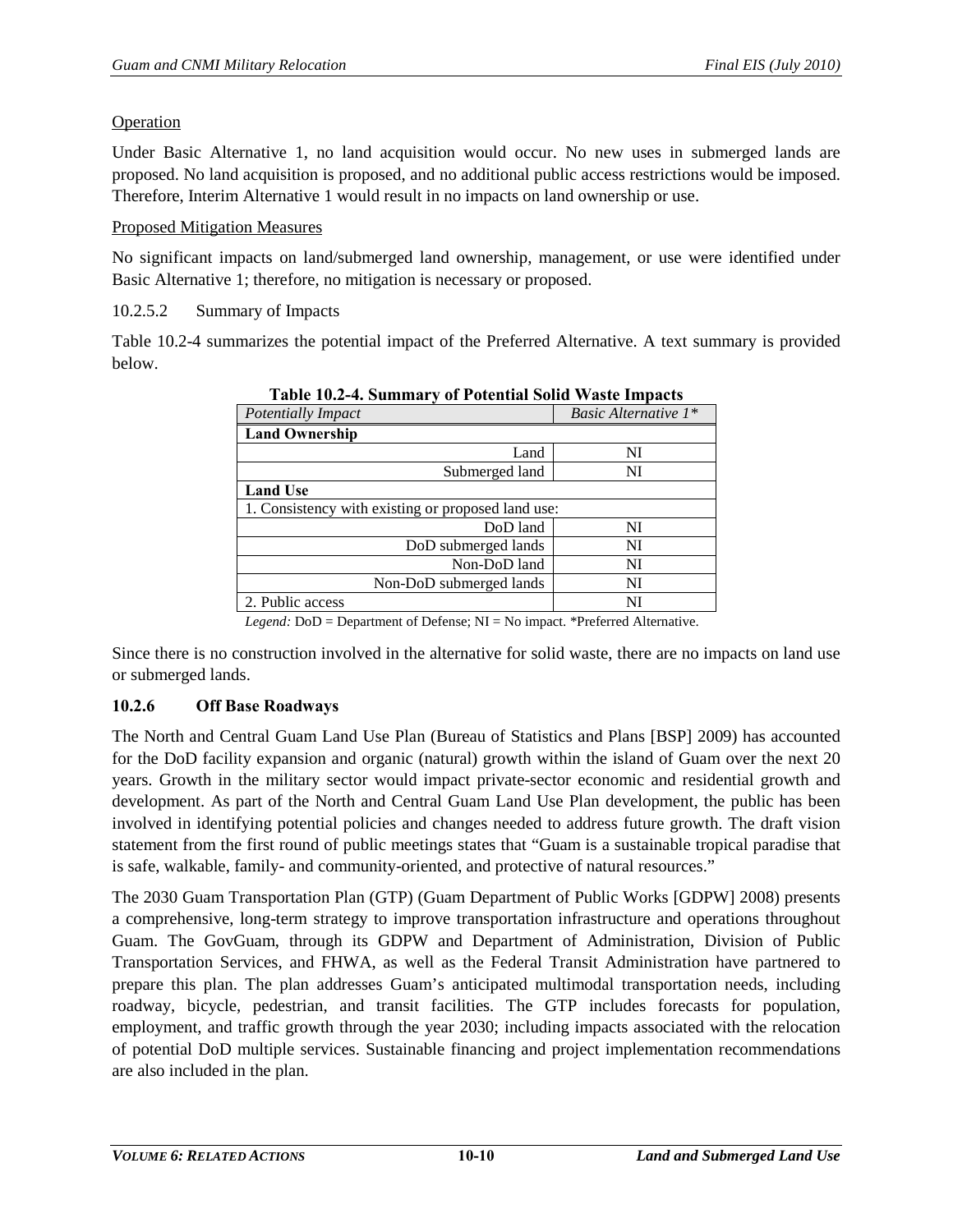## Operation

Under Basic Alternative 1, no land acquisition would occur. No new uses in submerged lands are proposed. No land acquisition is proposed, and no additional public access restrictions would be imposed. Therefore, Interim Alternative 1 would result in no impacts on land ownership or use.

#### Proposed Mitigation Measures

No significant impacts on land/submerged land ownership, management, or use were identified under Basic Alternative 1; therefore, no mitigation is necessary or proposed.

10.2.5.2 Summary of Impacts

<span id="page-9-0"></span>[Table 10.2-4](#page-9-0) summarizes the potential impact of the Preferred Alternative. A text summary is provided below.

| Potentially Impact                                 | Basic Alternative 1* |
|----------------------------------------------------|----------------------|
| <b>Land Ownership</b>                              |                      |
| Land                                               | NI                   |
| Submerged land                                     | NI                   |
| <b>Land Use</b>                                    |                      |
| 1. Consistency with existing or proposed land use: |                      |
| DoD land                                           | NI                   |
| DoD submerged lands                                | NI                   |
| Non-DoD land                                       | NI                   |
| Non-DoD submerged lands                            | NI                   |
| 2. Public access                                   | NI                   |

**Table 10.2-4. Summary of Potential Solid Waste Impacts**

*Legend:* DoD = Department of Defense; NI = No impact. \*Preferred Alternative.

Since there is no construction involved in the alternative for solid waste, there are no impacts on land use or submerged lands.

## **10.2.6 Off Base Roadways**

The North and Central Guam Land Use Plan (Bureau of Statistics and Plans [BSP] 2009) has accounted for the DoD facility expansion and organic (natural) growth within the island of Guam over the next 20 years. Growth in the military sector would impact private-sector economic and residential growth and development. As part of the North and Central Guam Land Use Plan development, the public has been involved in identifying potential policies and changes needed to address future growth. The draft vision statement from the first round of public meetings states that "Guam is a sustainable tropical paradise that is safe, walkable, family- and community-oriented, and protective of natural resources."

The 2030 Guam Transportation Plan (GTP) (Guam Department of Public Works [GDPW] 2008) presents a comprehensive, long-term strategy to improve transportation infrastructure and operations throughout Guam. The GovGuam, through its GDPW and Department of Administration, Division of Public Transportation Services, and FHWA, as well as the Federal Transit Administration have partnered to prepare this plan. The plan addresses Guam's anticipated multimodal transportation needs, including roadway, bicycle, pedestrian, and transit facilities. The GTP includes forecasts for population, employment, and traffic growth through the year 2030; including impacts associated with the relocation of potential DoD multiple services. Sustainable financing and project implementation recommendations are also included in the plan.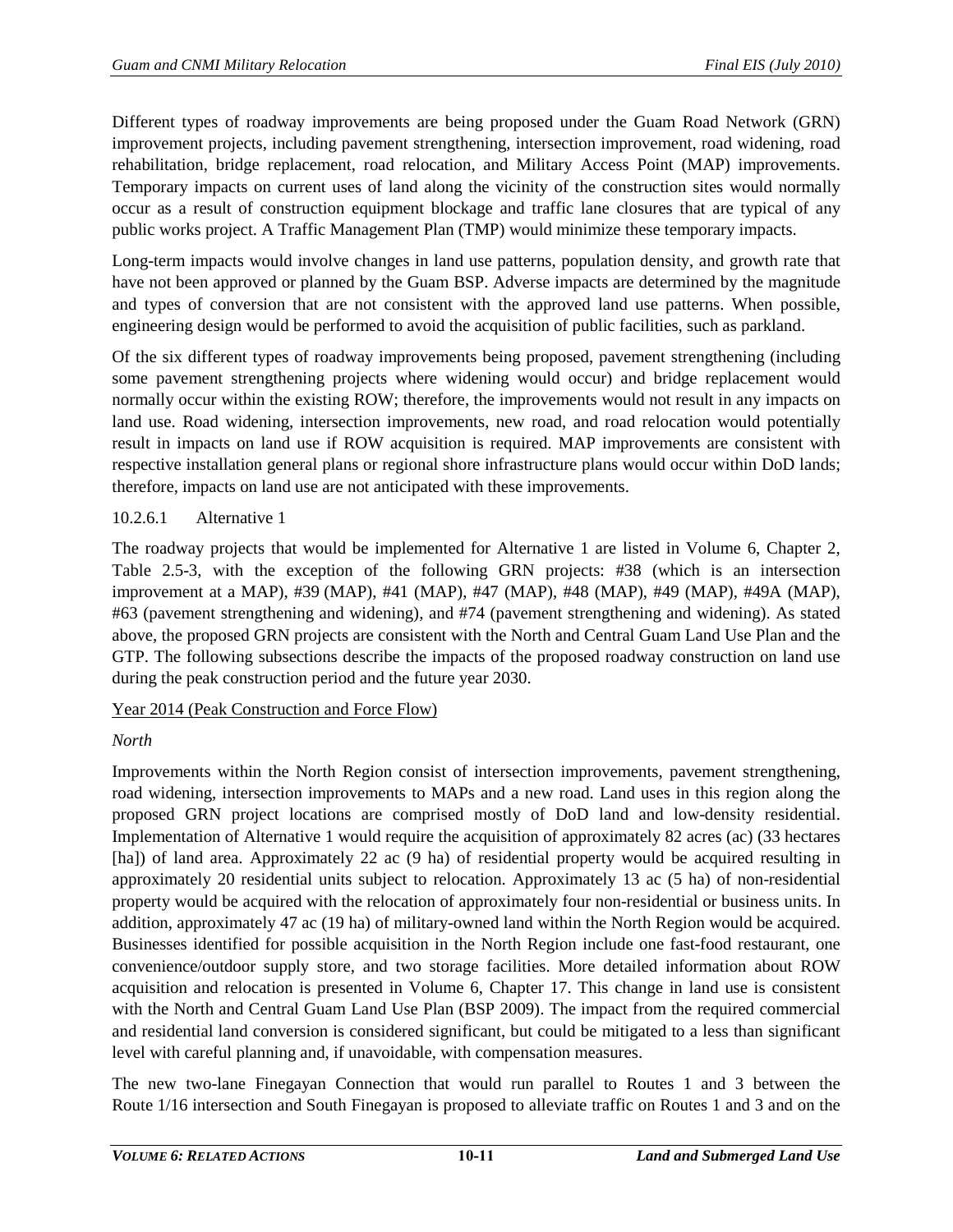Different types of roadway improvements are being proposed under the Guam Road Network (GRN) improvement projects, including pavement strengthening, intersection improvement, road widening, road rehabilitation, bridge replacement, road relocation, and Military Access Point (MAP) improvements. Temporary impacts on current uses of land along the vicinity of the construction sites would normally occur as a result of construction equipment blockage and traffic lane closures that are typical of any public works project. A Traffic Management Plan (TMP) would minimize these temporary impacts.

Long-term impacts would involve changes in land use patterns, population density, and growth rate that have not been approved or planned by the Guam BSP. Adverse impacts are determined by the magnitude and types of conversion that are not consistent with the approved land use patterns. When possible, engineering design would be performed to avoid the acquisition of public facilities, such as parkland.

Of the six different types of roadway improvements being proposed, pavement strengthening (including some pavement strengthening projects where widening would occur) and bridge replacement would normally occur within the existing ROW; therefore, the improvements would not result in any impacts on land use. Road widening, intersection improvements, new road, and road relocation would potentially result in impacts on land use if ROW acquisition is required. MAP improvements are consistent with respective installation general plans or regional shore infrastructure plans would occur within DoD lands; therefore, impacts on land use are not anticipated with these improvements.

# 10.2.6.1 Alternative 1

The roadway projects that would be implemented for Alternative 1 are listed in Volume 6, Chapter 2, Table 2.5-3, with the exception of the following GRN projects: #38 (which is an intersection improvement at a MAP), #39 (MAP), #41 (MAP), #47 (MAP), #48 (MAP), #49 (MAP), #49A (MAP), #63 (pavement strengthening and widening), and #74 (pavement strengthening and widening). As stated above, the proposed GRN projects are consistent with the North and Central Guam Land Use Plan and the GTP. The following subsections describe the impacts of the proposed roadway construction on land use during the peak construction period and the future year 2030.

# Year 2014 (Peak Construction and Force Flow)

# *North*

Improvements within the North Region consist of intersection improvements, pavement strengthening, road widening, intersection improvements to MAPs and a new road. Land uses in this region along the proposed GRN project locations are comprised mostly of DoD land and low-density residential. Implementation of Alternative 1 would require the acquisition of approximately 82 acres (ac) (33 hectares [ha]) of land area. Approximately 22 ac (9 ha) of residential property would be acquired resulting in approximately 20 residential units subject to relocation. Approximately 13 ac (5 ha) of non-residential property would be acquired with the relocation of approximately four non-residential or business units. In addition, approximately 47 ac (19 ha) of military-owned land within the North Region would be acquired. Businesses identified for possible acquisition in the North Region include one fast-food restaurant, one convenience/outdoor supply store, and two storage facilities. More detailed information about ROW acquisition and relocation is presented in Volume 6, Chapter 17. This change in land use is consistent with the North and Central Guam Land Use Plan (BSP 2009). The impact from the required commercial and residential land conversion is considered significant, but could be mitigated to a less than significant level with careful planning and, if unavoidable, with compensation measures.

The new two-lane Finegayan Connection that would run parallel to Routes 1 and 3 between the Route 1/16 intersection and South Finegayan is proposed to alleviate traffic on Routes 1 and 3 and on the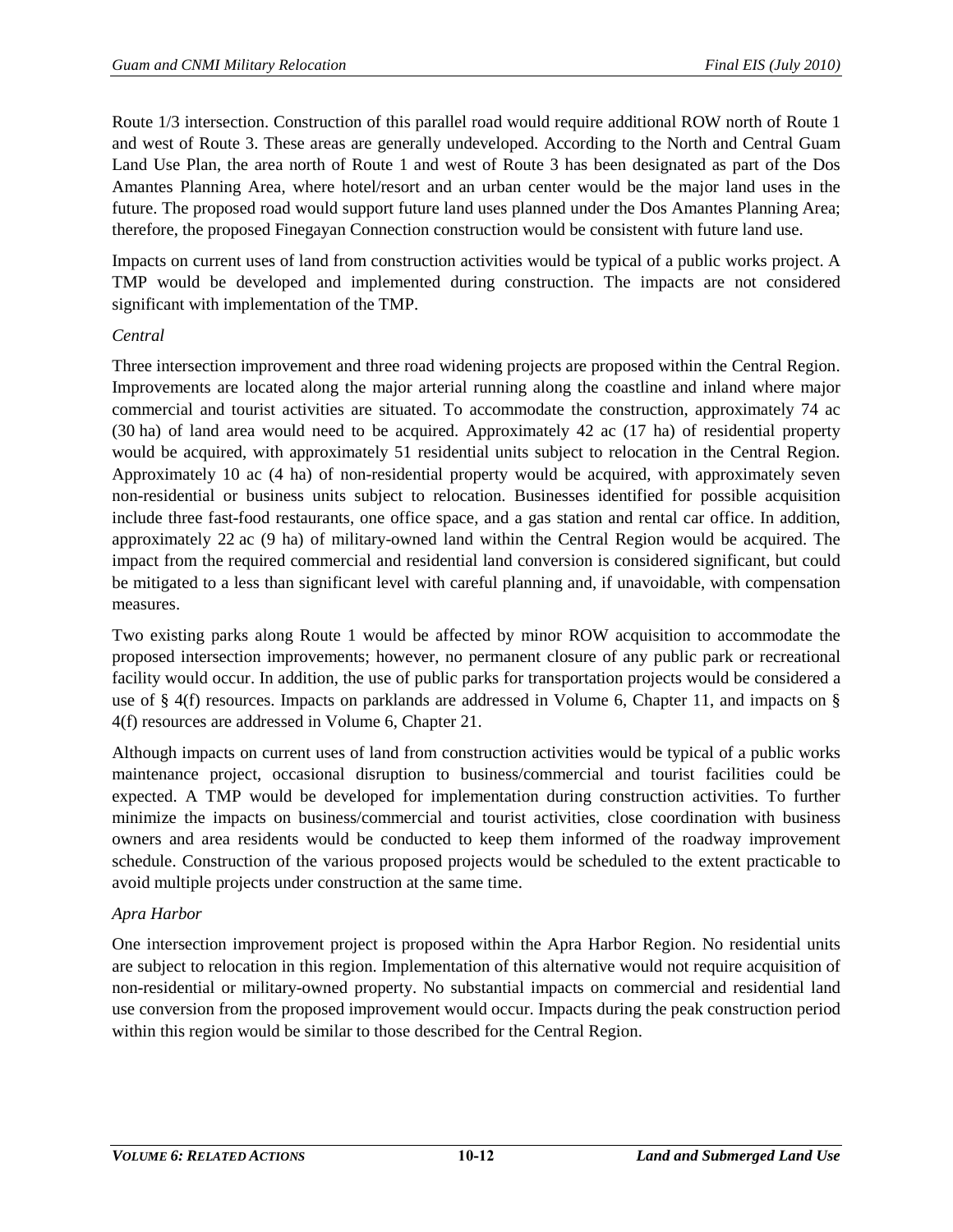Route 1/3 intersection. Construction of this parallel road would require additional ROW north of Route 1 and west of Route 3. These areas are generally undeveloped. According to the North and Central Guam Land Use Plan, the area north of Route 1 and west of Route 3 has been designated as part of the Dos Amantes Planning Area, where hotel/resort and an urban center would be the major land uses in the future. The proposed road would support future land uses planned under the Dos Amantes Planning Area; therefore, the proposed Finegayan Connection construction would be consistent with future land use.

Impacts on current uses of land from construction activities would be typical of a public works project. A TMP would be developed and implemented during construction. The impacts are not considered significant with implementation of the TMP.

#### *Central*

Three intersection improvement and three road widening projects are proposed within the Central Region. Improvements are located along the major arterial running along the coastline and inland where major commercial and tourist activities are situated. To accommodate the construction, approximately 74 ac (30 ha) of land area would need to be acquired. Approximately 42 ac (17 ha) of residential property would be acquired, with approximately 51 residential units subject to relocation in the Central Region. Approximately 10 ac (4 ha) of non-residential property would be acquired, with approximately seven non-residential or business units subject to relocation. Businesses identified for possible acquisition include three fast-food restaurants, one office space, and a gas station and rental car office. In addition, approximately 22 ac (9 ha) of military-owned land within the Central Region would be acquired. The impact from the required commercial and residential land conversion is considered significant, but could be mitigated to a less than significant level with careful planning and, if unavoidable, with compensation measures.

Two existing parks along Route 1 would be affected by minor ROW acquisition to accommodate the proposed intersection improvements; however, no permanent closure of any public park or recreational facility would occur. In addition, the use of public parks for transportation projects would be considered a use of § 4(f) resources. Impacts on parklands are addressed in Volume 6, Chapter 11, and impacts on § 4(f) resources are addressed in Volume 6, Chapter 21.

Although impacts on current uses of land from construction activities would be typical of a public works maintenance project, occasional disruption to business/commercial and tourist facilities could be expected. A TMP would be developed for implementation during construction activities. To further minimize the impacts on business/commercial and tourist activities, close coordination with business owners and area residents would be conducted to keep them informed of the roadway improvement schedule. Construction of the various proposed projects would be scheduled to the extent practicable to avoid multiple projects under construction at the same time.

#### *Apra Harbor*

One intersection improvement project is proposed within the Apra Harbor Region. No residential units are subject to relocation in this region. Implementation of this alternative would not require acquisition of non-residential or military-owned property. No substantial impacts on commercial and residential land use conversion from the proposed improvement would occur. Impacts during the peak construction period within this region would be similar to those described for the Central Region.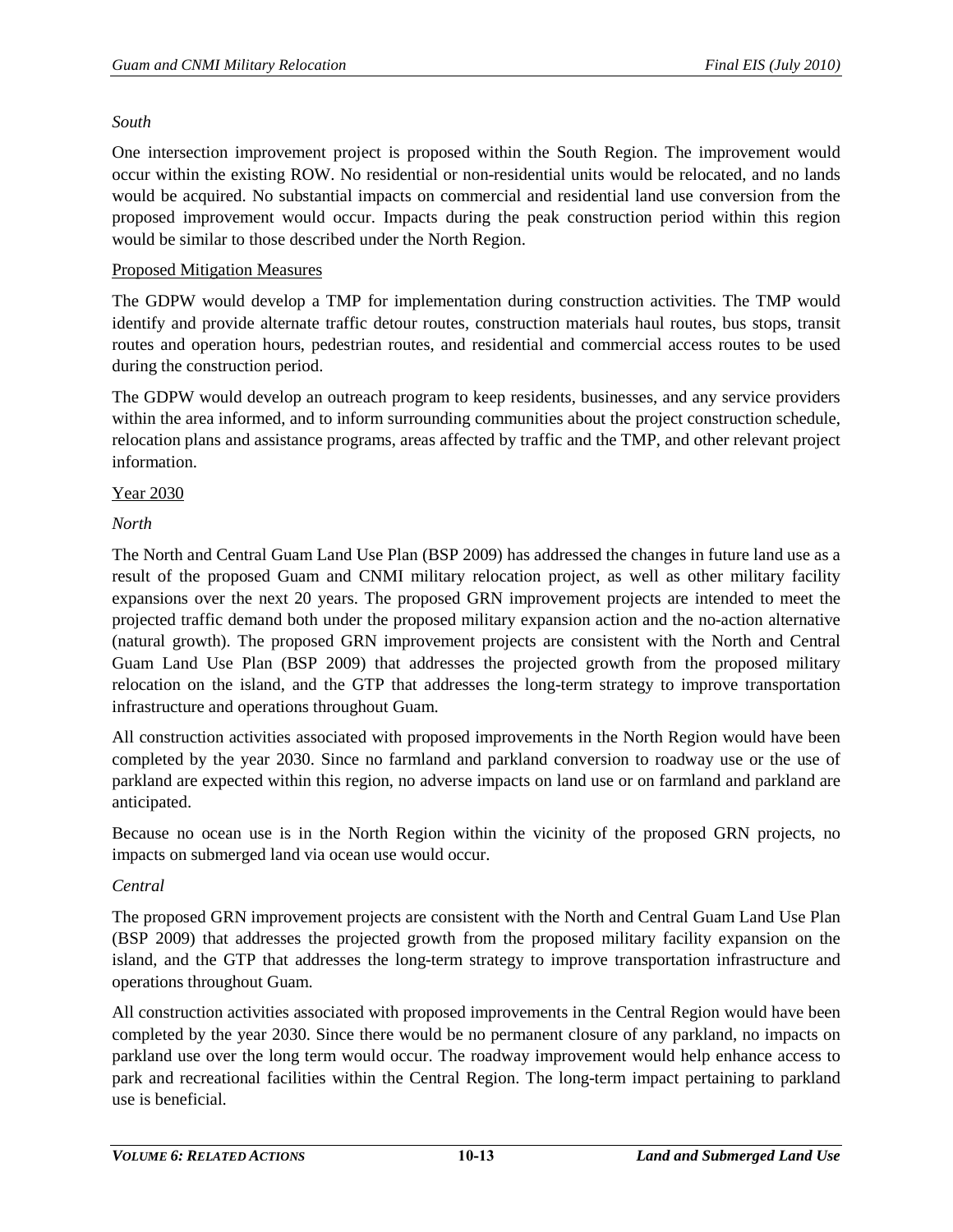#### *South*

One intersection improvement project is proposed within the South Region. The improvement would occur within the existing ROW. No residential or non-residential units would be relocated, and no lands would be acquired. No substantial impacts on commercial and residential land use conversion from the proposed improvement would occur. Impacts during the peak construction period within this region would be similar to those described under the North Region.

#### Proposed Mitigation Measures

The GDPW would develop a TMP for implementation during construction activities. The TMP would identify and provide alternate traffic detour routes, construction materials haul routes, bus stops, transit routes and operation hours, pedestrian routes, and residential and commercial access routes to be used during the construction period.

The GDPW would develop an outreach program to keep residents, businesses, and any service providers within the area informed, and to inform surrounding communities about the project construction schedule, relocation plans and assistance programs, areas affected by traffic and the TMP, and other relevant project information.

#### Year 2030

## *North*

The North and Central Guam Land Use Plan (BSP 2009) has addressed the changes in future land use as a result of the proposed Guam and CNMI military relocation project, as well as other military facility expansions over the next 20 years. The proposed GRN improvement projects are intended to meet the projected traffic demand both under the proposed military expansion action and the no-action alternative (natural growth). The proposed GRN improvement projects are consistent with the North and Central Guam Land Use Plan (BSP 2009) that addresses the projected growth from the proposed military relocation on the island, and the GTP that addresses the long-term strategy to improve transportation infrastructure and operations throughout Guam.

All construction activities associated with proposed improvements in the North Region would have been completed by the year 2030. Since no farmland and parkland conversion to roadway use or the use of parkland are expected within this region, no adverse impacts on land use or on farmland and parkland are anticipated.

Because no ocean use is in the North Region within the vicinity of the proposed GRN projects, no impacts on submerged land via ocean use would occur.

#### *Central*

The proposed GRN improvement projects are consistent with the North and Central Guam Land Use Plan (BSP 2009) that addresses the projected growth from the proposed military facility expansion on the island, and the GTP that addresses the long-term strategy to improve transportation infrastructure and operations throughout Guam.

All construction activities associated with proposed improvements in the Central Region would have been completed by the year 2030. Since there would be no permanent closure of any parkland, no impacts on parkland use over the long term would occur. The roadway improvement would help enhance access to park and recreational facilities within the Central Region. The long-term impact pertaining to parkland use is beneficial.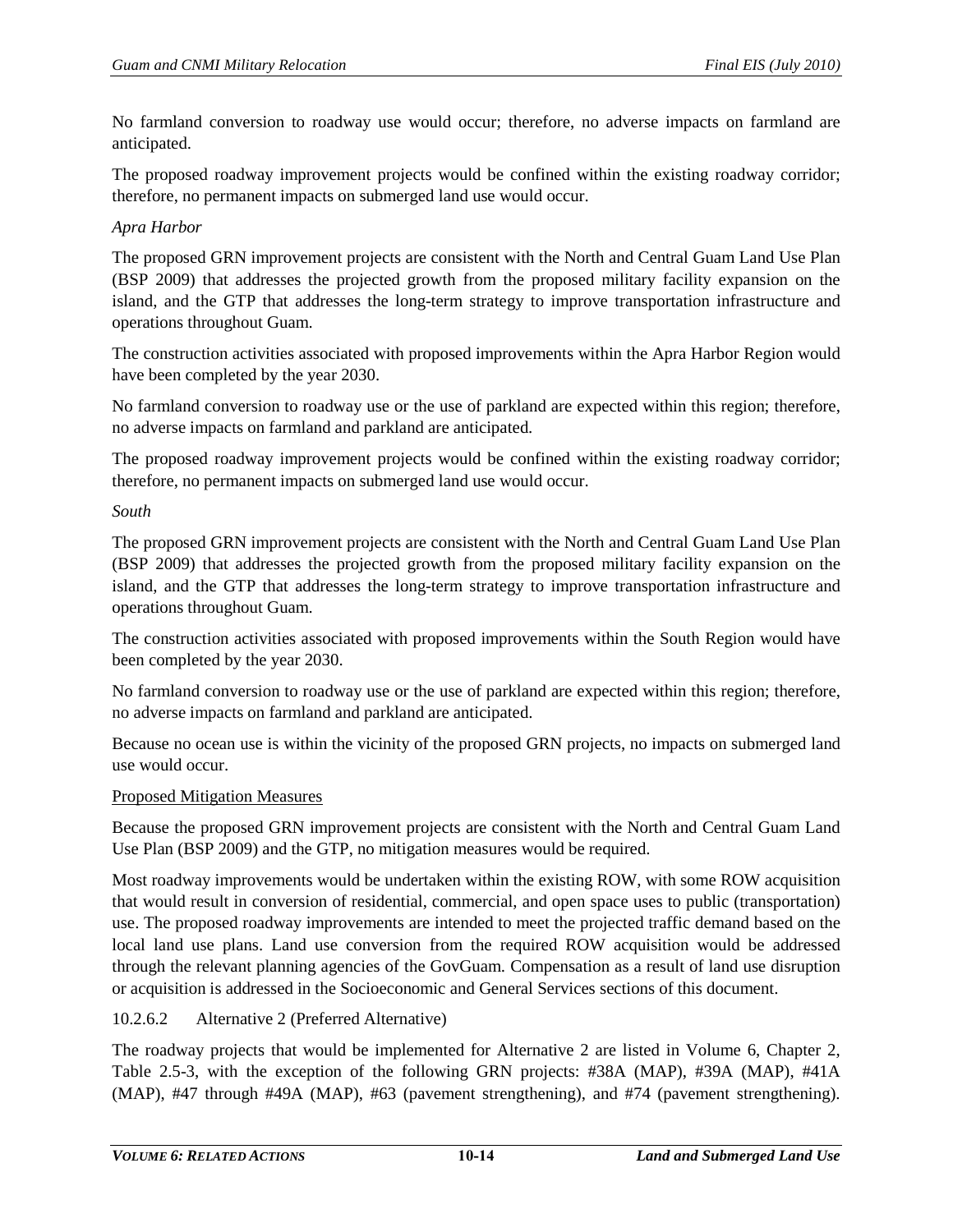No farmland conversion to roadway use would occur; therefore, no adverse impacts on farmland are anticipated.

The proposed roadway improvement projects would be confined within the existing roadway corridor; therefore, no permanent impacts on submerged land use would occur.

## *Apra Harbor*

The proposed GRN improvement projects are consistent with the North and Central Guam Land Use Plan (BSP 2009) that addresses the projected growth from the proposed military facility expansion on the island, and the GTP that addresses the long-term strategy to improve transportation infrastructure and operations throughout Guam.

The construction activities associated with proposed improvements within the Apra Harbor Region would have been completed by the year 2030.

No farmland conversion to roadway use or the use of parkland are expected within this region; therefore, no adverse impacts on farmland and parkland are anticipated.

The proposed roadway improvement projects would be confined within the existing roadway corridor; therefore, no permanent impacts on submerged land use would occur.

#### *South*

The proposed GRN improvement projects are consistent with the North and Central Guam Land Use Plan (BSP 2009) that addresses the projected growth from the proposed military facility expansion on the island, and the GTP that addresses the long-term strategy to improve transportation infrastructure and operations throughout Guam.

The construction activities associated with proposed improvements within the South Region would have been completed by the year 2030.

No farmland conversion to roadway use or the use of parkland are expected within this region; therefore, no adverse impacts on farmland and parkland are anticipated.

Because no ocean use is within the vicinity of the proposed GRN projects, no impacts on submerged land use would occur.

#### Proposed Mitigation Measures

Because the proposed GRN improvement projects are consistent with the North and Central Guam Land Use Plan (BSP 2009) and the GTP, no mitigation measures would be required.

Most roadway improvements would be undertaken within the existing ROW, with some ROW acquisition that would result in conversion of residential, commercial, and open space uses to public (transportation) use. The proposed roadway improvements are intended to meet the projected traffic demand based on the local land use plans. Land use conversion from the required ROW acquisition would be addressed through the relevant planning agencies of the GovGuam. Compensation as a result of land use disruption or acquisition is addressed in the Socioeconomic and General Services sections of this document.

## 10.2.6.2 Alternative 2 (Preferred Alternative)

The roadway projects that would be implemented for Alternative 2 are listed in Volume 6, Chapter 2, Table 2.5-3, with the exception of the following GRN projects: #38A (MAP), #39A (MAP), #41A (MAP), #47 through #49A (MAP), #63 (pavement strengthening), and #74 (pavement strengthening).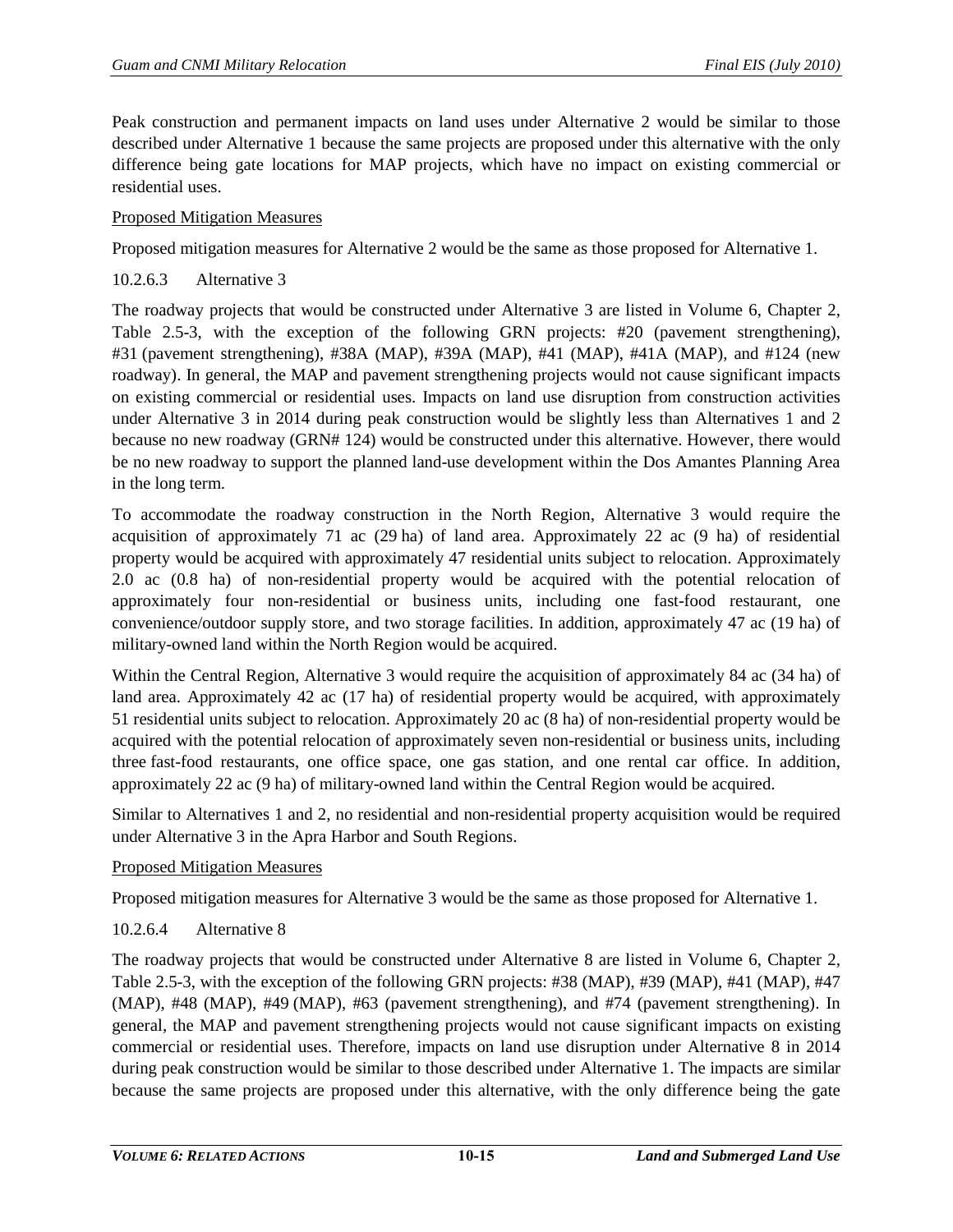Peak construction and permanent impacts on land uses under Alternative 2 would be similar to those described under Alternative 1 because the same projects are proposed under this alternative with the only difference being gate locations for MAP projects, which have no impact on existing commercial or residential uses.

## Proposed Mitigation Measures

Proposed mitigation measures for Alternative 2 would be the same as those proposed for Alternative 1.

## 10.2.6.3 Alternative 3

The roadway projects that would be constructed under Alternative 3 are listed in Volume 6, Chapter 2, Table 2.5-3, with the exception of the following GRN projects: #20 (pavement strengthening), #31 (pavement strengthening), #38A (MAP), #39A (MAP), #41 (MAP), #41A (MAP), and #124 (new roadway). In general, the MAP and pavement strengthening projects would not cause significant impacts on existing commercial or residential uses. Impacts on land use disruption from construction activities under Alternative 3 in 2014 during peak construction would be slightly less than Alternatives 1 and 2 because no new roadway (GRN# 124) would be constructed under this alternative. However, there would be no new roadway to support the planned land-use development within the Dos Amantes Planning Area in the long term.

To accommodate the roadway construction in the North Region, Alternative 3 would require the acquisition of approximately 71 ac (29 ha) of land area. Approximately 22 ac (9 ha) of residential property would be acquired with approximately 47 residential units subject to relocation. Approximately 2.0 ac (0.8 ha) of non-residential property would be acquired with the potential relocation of approximately four non-residential or business units, including one fast-food restaurant, one convenience/outdoor supply store, and two storage facilities. In addition, approximately 47 ac (19 ha) of military-owned land within the North Region would be acquired.

Within the Central Region, Alternative 3 would require the acquisition of approximately 84 ac (34 ha) of land area. Approximately 42 ac (17 ha) of residential property would be acquired, with approximately 51 residential units subject to relocation. Approximately 20 ac (8 ha) of non-residential property would be acquired with the potential relocation of approximately seven non-residential or business units, including three fast-food restaurants, one office space, one gas station, and one rental car office. In addition, approximately 22 ac (9 ha) of military-owned land within the Central Region would be acquired.

Similar to Alternatives 1 and 2, no residential and non-residential property acquisition would be required under Alternative 3 in the Apra Harbor and South Regions.

## Proposed Mitigation Measures

Proposed mitigation measures for Alternative 3 would be the same as those proposed for Alternative 1.

# 10.2.6.4 Alternative 8

The roadway projects that would be constructed under Alternative 8 are listed in Volume 6, Chapter 2, Table 2.5-3, with the exception of the following GRN projects: #38 (MAP), #39 (MAP), #41 (MAP), #47 (MAP), #48 (MAP), #49 (MAP), #63 (pavement strengthening), and #74 (pavement strengthening). In general, the MAP and pavement strengthening projects would not cause significant impacts on existing commercial or residential uses. Therefore, impacts on land use disruption under Alternative 8 in 2014 during peak construction would be similar to those described under Alternative 1. The impacts are similar because the same projects are proposed under this alternative, with the only difference being the gate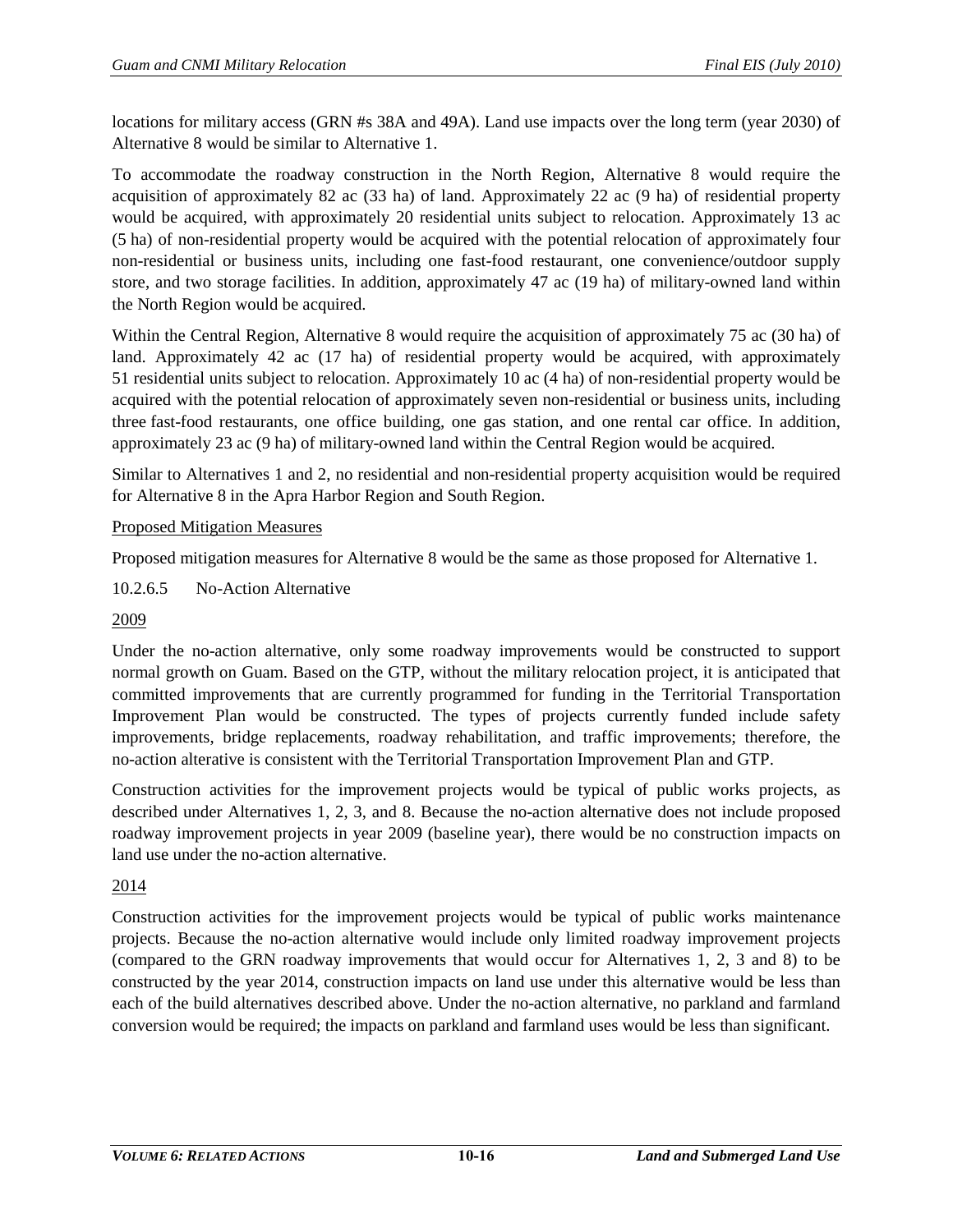locations for military access (GRN #s 38A and 49A). Land use impacts over the long term (year 2030) of Alternative 8 would be similar to Alternative 1.

To accommodate the roadway construction in the North Region, Alternative 8 would require the acquisition of approximately 82 ac (33 ha) of land. Approximately 22 ac (9 ha) of residential property would be acquired, with approximately 20 residential units subject to relocation. Approximately 13 ac (5 ha) of non-residential property would be acquired with the potential relocation of approximately four non-residential or business units, including one fast-food restaurant, one convenience/outdoor supply store, and two storage facilities. In addition, approximately 47 ac (19 ha) of military-owned land within the North Region would be acquired.

Within the Central Region, Alternative 8 would require the acquisition of approximately 75 ac (30 ha) of land. Approximately 42 ac (17 ha) of residential property would be acquired, with approximately 51 residential units subject to relocation. Approximately 10 ac (4 ha) of non-residential property would be acquired with the potential relocation of approximately seven non-residential or business units, including three fast-food restaurants, one office building, one gas station, and one rental car office. In addition, approximately 23 ac (9 ha) of military-owned land within the Central Region would be acquired.

Similar to Alternatives 1 and 2, no residential and non-residential property acquisition would be required for Alternative 8 in the Apra Harbor Region and South Region.

## Proposed Mitigation Measures

Proposed mitigation measures for Alternative 8 would be the same as those proposed for Alternative 1.

10.2.6.5 No-Action Alternative

## 2009

Under the no-action alternative, only some roadway improvements would be constructed to support normal growth on Guam. Based on the GTP, without the military relocation project, it is anticipated that committed improvements that are currently programmed for funding in the Territorial Transportation Improvement Plan would be constructed. The types of projects currently funded include safety improvements, bridge replacements, roadway rehabilitation, and traffic improvements; therefore, the no-action alterative is consistent with the Territorial Transportation Improvement Plan and GTP.

Construction activities for the improvement projects would be typical of public works projects, as described under Alternatives 1, 2, 3, and 8. Because the no-action alternative does not include proposed roadway improvement projects in year 2009 (baseline year), there would be no construction impacts on land use under the no-action alternative.

## 2014

Construction activities for the improvement projects would be typical of public works maintenance projects. Because the no-action alternative would include only limited roadway improvement projects (compared to the GRN roadway improvements that would occur for Alternatives 1, 2, 3 and 8) to be constructed by the year 2014, construction impacts on land use under this alternative would be less than each of the build alternatives described above. Under the no-action alternative, no parkland and farmland conversion would be required; the impacts on parkland and farmland uses would be less than significant.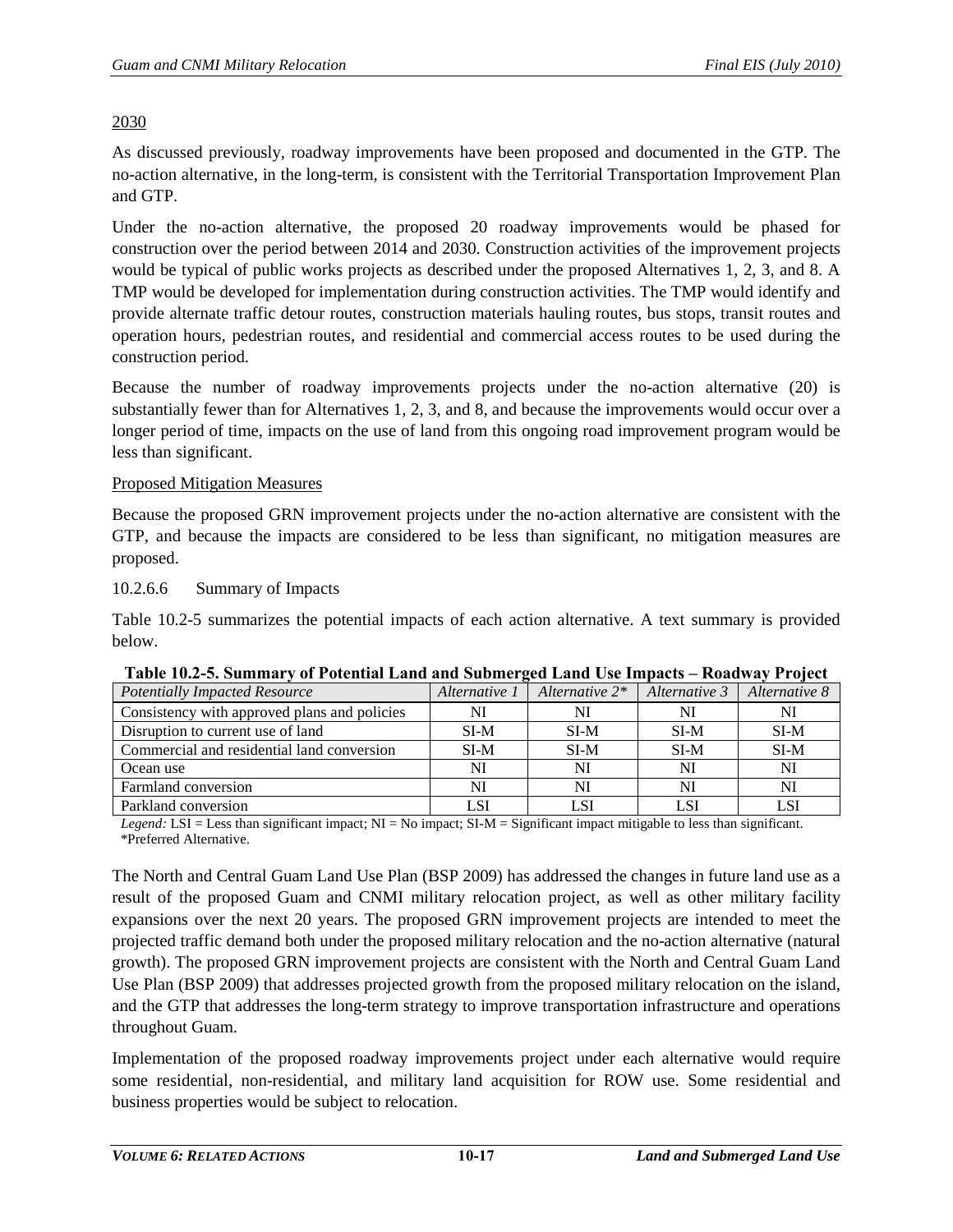## 2030

As discussed previously, roadway improvements have been proposed and documented in the GTP. The no-action alternative, in the long-term, is consistent with the Territorial Transportation Improvement Plan and GTP.

Under the no-action alternative, the proposed 20 roadway improvements would be phased for construction over the period between 2014 and 2030. Construction activities of the improvement projects would be typical of public works projects as described under the proposed Alternatives 1, 2, 3, and 8. A TMP would be developed for implementation during construction activities. The TMP would identify and provide alternate traffic detour routes, construction materials hauling routes, bus stops, transit routes and operation hours, pedestrian routes, and residential and commercial access routes to be used during the construction period.

Because the number of roadway improvements projects under the no-action alternative (20) is substantially fewer than for Alternatives 1, 2, 3, and 8, and because the improvements would occur over a longer period of time, impacts on the use of land from this ongoing road improvement program would be less than significant.

#### Proposed Mitigation Measures

Because the proposed GRN improvement projects under the no-action alternative are consistent with the GTP, and because the impacts are considered to be less than significant, no mitigation measures are proposed.

#### 10.2.6.6 Summary of Impacts

[Table 10.2-5](#page-16-0) summarizes the potential impacts of each action alternative. A text summary is provided below.

| THERE IS EXPLOITED A LOT THE CONTROLLED MANAGEMENT CONTROLLED IN THE LOT OF LARGE LOTER LOTER. |               |                   |               |               |
|------------------------------------------------------------------------------------------------|---------------|-------------------|---------------|---------------|
| <b>Potentially Impacted Resource</b>                                                           | Alternative 1 | Alternative $2^*$ | Alternative 3 | Alternative 8 |
| Consistency with approved plans and policies                                                   |               | NI                |               | NI            |
| Disruption to current use of land                                                              | SI-M          | $SI-M$            | SI-M          | $SI-M$        |
| Commercial and residential land conversion                                                     | $SI-M$        | $SI-M$            | SI-M          | $SI-M$        |
| Ocean use                                                                                      | NI            | NI                | NI            | NI            |
| Farmland conversion                                                                            | NI            | NI                | NI            | NI            |
| Parkland conversion                                                                            | LSI           | LSI               |               | LSI           |

<span id="page-16-0"></span>

| Table 10.2-5. Summary of Potential Land and Submerged Land Use Impacts - Roadway Project |  |  |
|------------------------------------------------------------------------------------------|--|--|

*Legend:* LSI = Less than significant impact; NI = No impact; SI-M = Significant impact mitigable to less than significant. \*Preferred Alternative.

The North and Central Guam Land Use Plan (BSP 2009) has addressed the changes in future land use as a result of the proposed Guam and CNMI military relocation project, as well as other military facility expansions over the next 20 years. The proposed GRN improvement projects are intended to meet the projected traffic demand both under the proposed military relocation and the no-action alternative (natural growth). The proposed GRN improvement projects are consistent with the North and Central Guam Land Use Plan (BSP 2009) that addresses projected growth from the proposed military relocation on the island, and the GTP that addresses the long-term strategy to improve transportation infrastructure and operations throughout Guam.

Implementation of the proposed roadway improvements project under each alternative would require some residential, non-residential, and military land acquisition for ROW use. Some residential and business properties would be subject to relocation.